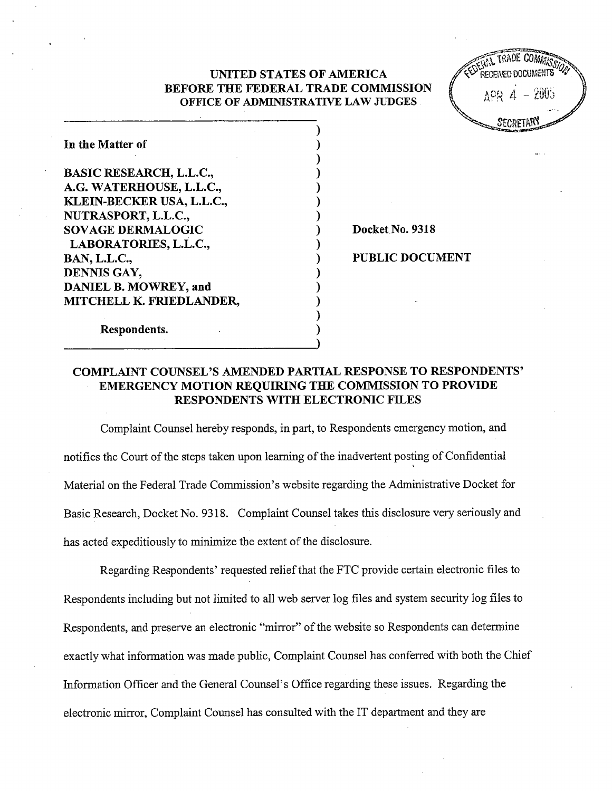## UNITED STATES OF AMERICA BEFORE THE FEDERAL TRADE COMMISSION OFFICE OF ADMINISTRATIVE LAW JUDGES

| In the Matter of                                                                                                                                                                           |
|--------------------------------------------------------------------------------------------------------------------------------------------------------------------------------------------|
| <b>BASIC RESEARCH, L.L.C.,</b><br>A.G. WATERHOUSE, L.L.C.,<br>KLEIN-BECKER USA, L.L.C.,<br>NUTRASPORT, L.L.C.,<br><b>SOVAGE DERMALOGIC</b><br>LABORATORIES, L.L.C.,<br><b>BAN, L.L.C.,</b> |
| DENNIS GAY,<br><b>DANIEL B. MOWREY, and</b>                                                                                                                                                |
| MITCHELL K. FRIEDLANDER,                                                                                                                                                                   |

Docket No. 9318

PUBLIC DOCUMENT

# Respondents.

# COMPLAINT COUNSEL'S AMENDED PARTIAL RESPONSE TO RESPONDENTS' EMERGENCY MOTION REQUIRING THE COMMISSION TO PROVIDE RESPONDENTS WITH ELECTRONIC FILES

Complaint Counsel hereby responds, in part, to Respondents emergency motion, and notifies the Court of the steps taken upon learning of the inadvertent posting of Confidential Material on the Federal Trade Commission's website regarding the Administrative Docket for Basic Research, Docket No. 9318. Complaint Counsel takes this disclosure very seriously and has acted expeditiously to minimize the extent of the disclosure.

Regarding Respondents' requested relief that the FTC provide certain electronic files to Respondents including but not limited to all web server log files and system securty log files to Respondents, and preserve an electronic "mirror" of the website so Respondents can determine exactly what information was made public, Complaint Counsel has conferred with both the Chief Information Officer and the General Counsel's Office regarding these issues. Regarding the electronic mirror, Complaint Counsel has consulted with the IT department and they are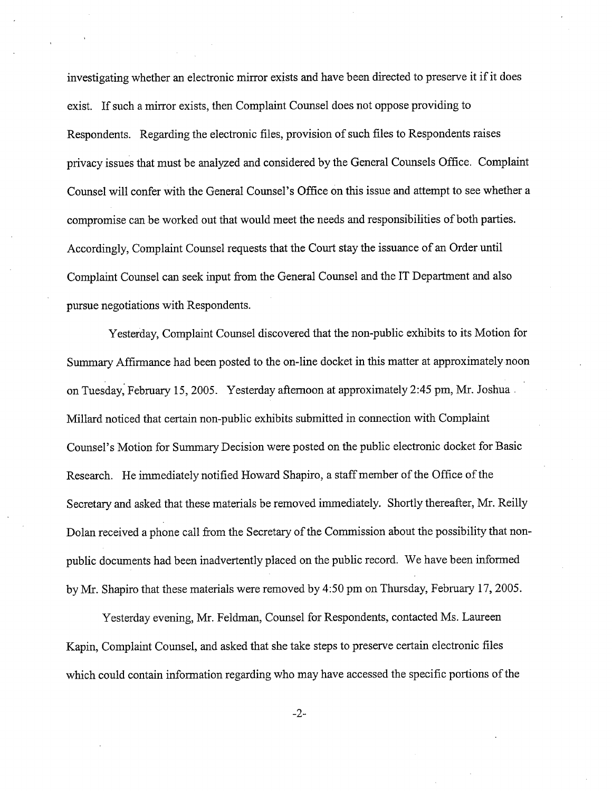investigating whether an electronic mirror exists and have been directed to preserve it if it does exist. If such a mirror exists, then Complaint Counsel does not oppose providing to Respondents. Regarding the electronic files, provision of such files to Respondents raises privacy issues that must be analyzed and considered by the General Counsels Office. Complaint Counsel will confer with the General Counsel's Office on this issue and attempt to see whether a compromise can be worked out that would meet the needs and responsibilities of both parties. Accordingly, Complaint Counsel requests that the Court stay the issuance of an Order until Complaint Counsel can seek input from the General Counsel and the IT Department and also pursue negotiations with Respondents.

Yesterday, Complaint Counsel discovered that the non-public exhbits to its Motion for Summary Affirmance had been posted to the on-line docket in this matter at approximately noon on Tuesday, February 15, 2005. Yesterday afternoon at approximately 2:45 pm, Mr. Joshua Millard noticed that certain non-public exhibits submitted in connection with Complaint Counsel' s Motion for Sumary Decision were posted on the public electronic docket for Basic Research. He immediately notified Howard Shapiro, a staff member of the Office of the Secretary and asked that these materials be removed immediately. Shortly thereafter, Mr. Reily Dolan received a phone call from the Secretary of the Commission about the possibility that nonpublic documents had been inadvertently placed on the public record. We have been informed by Mr. Shapiro that these materials were removed by 4:50 pm on Thursday, February 17, 2005.

Yesterday evening, Mr. Feldman, Counsel for Respondents, contacted Ms. Laureen Kapin, Complaint Counsel, and asked that she take steps to preserve certain electronic files which could contain information regarding who may have accessed the specific portions of the

 $-2-$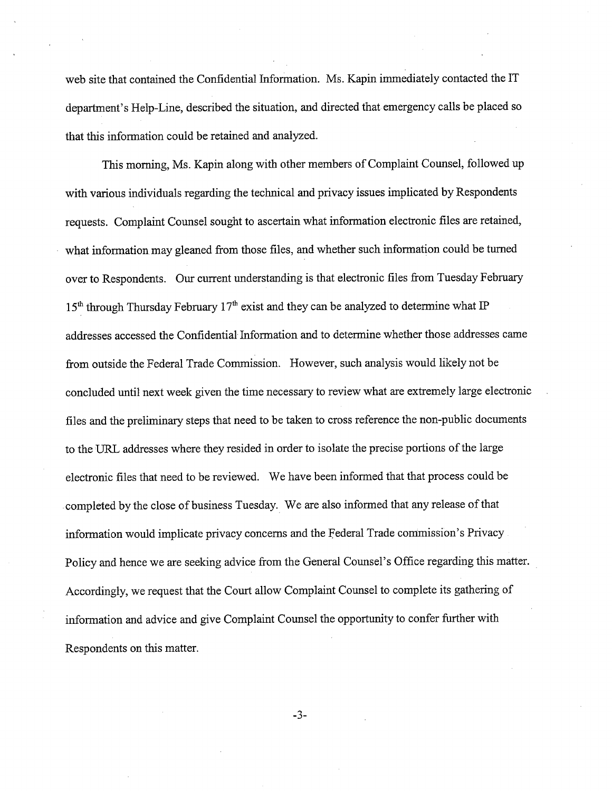web site that contained the Confidential Information. Ms. Kapin immediately contacted the department's Help-Line, described the situation, and directed that emergency calls be placed so that this information could be retained and analyzed.

This morning, Ms. Kapin along with other members of Complaint Counsel, followed up with various individuals regarding the technical and privacy issues implicated by Respondents requests. Complaint Counsel sought to ascertain what information electronic files are retained what information may gleaned from those files, and whether such information could be turned over to Respondents. Our current understanding is that electronic files from Tuesday February  $15<sup>th</sup>$  through Thursday February  $17<sup>th</sup>$  exist and they can be analyzed to determine what IP addresses accessed the Confidential Information and to determne whether those addresses came from outside the Federal Trade Commission. However, such analysis would likely not be concluded until next week given the time necessary to review what are extremely large electronic files and the preliminary steps that need to be taken to cross reference the non-public documents to the URL addresses where they resided in order to isolate the precise portions of the large electronic fies that need to be reviewed. We have been informed that that process could be completed by the close of business Tuesday. We are also informed that any release of that information would implicate privacy concerns and the Federal Trade commission's Privacy Policy and hence we are seeking advice from the General Counsel's Office regarding this matter. Accordingly, we request that the Court allow Complaint Counsel to complete its gathering of information and advice and give Complaint Counsel the opportunty to confer further with Respondents on this matter.

 $-3-$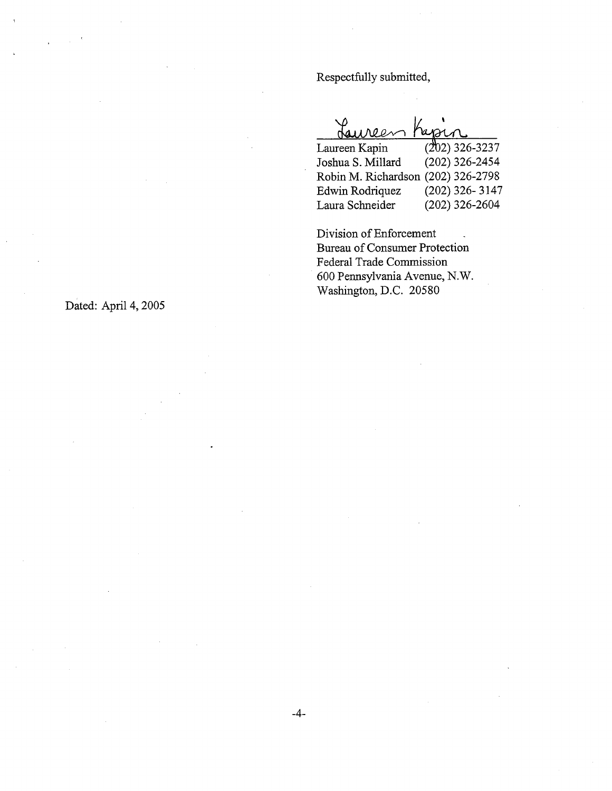Respectfully submitted



Robin M. Richardson (202) 326-2798<br>Edwin Rodriquez (202) 326-3147 Edwin Rodriquez Laura Schneider (202) 326-2604

Division of Enforcement Bureau of Consumer Protection Federal Trade Commission 600 Pennsylvania Avenue, N. Washington, D.C. 20580

Dated: April 4, 2005